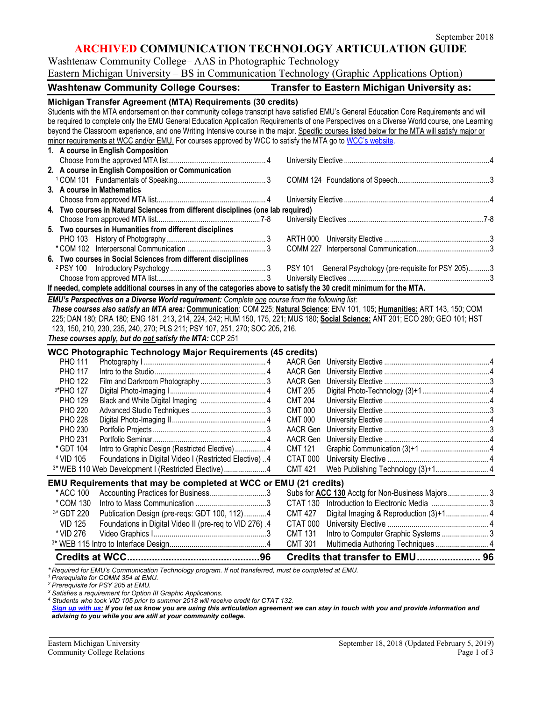## **ARCHIVED COMMUNICATION TECHNOLOGY ARTICULATION GUIDE**

Washtenaw Community College– AAS in Photographic Technology Eastern Michigan University – BS in Communication Technology (Graphic Applications Option)

| <b>Washtenaw Community College Courses:</b><br><b>Transfer to Eastern Michigan University as:</b>                                                                                                                                                                                                                                                                                                                                                                                                                                                                                                                       |  |                                                                                                                                |  |  |  |
|-------------------------------------------------------------------------------------------------------------------------------------------------------------------------------------------------------------------------------------------------------------------------------------------------------------------------------------------------------------------------------------------------------------------------------------------------------------------------------------------------------------------------------------------------------------------------------------------------------------------------|--|--------------------------------------------------------------------------------------------------------------------------------|--|--|--|
| Michigan Transfer Agreement (MTA) Requirements (30 credits)<br>Students with the MTA endorsement on their community college transcript have satisfied EMU's General Education Core Requirements and will<br>be required to complete only the EMU General Education Application Requirements of one Perspectives on a Diverse World course, one Learning<br>beyond the Classroom experience, and one Writing Intensive course in the major. Specific courses listed below for the MTA will satisfy major or<br>minor requirements at WCC and/or EMU. For courses approved by WCC to satisfy the MTA go to WCC's website. |  |                                                                                                                                |  |  |  |
| 1. A course in English Composition                                                                                                                                                                                                                                                                                                                                                                                                                                                                                                                                                                                      |  |                                                                                                                                |  |  |  |
| 2. A course in English Composition or Communication                                                                                                                                                                                                                                                                                                                                                                                                                                                                                                                                                                     |  |                                                                                                                                |  |  |  |
|                                                                                                                                                                                                                                                                                                                                                                                                                                                                                                                                                                                                                         |  |                                                                                                                                |  |  |  |
| 3. A course in Mathematics                                                                                                                                                                                                                                                                                                                                                                                                                                                                                                                                                                                              |  |                                                                                                                                |  |  |  |
|                                                                                                                                                                                                                                                                                                                                                                                                                                                                                                                                                                                                                         |  |                                                                                                                                |  |  |  |
| 4. Two courses in Natural Sciences from different disciplines (one lab required)                                                                                                                                                                                                                                                                                                                                                                                                                                                                                                                                        |  |                                                                                                                                |  |  |  |
|                                                                                                                                                                                                                                                                                                                                                                                                                                                                                                                                                                                                                         |  |                                                                                                                                |  |  |  |
| 5. Two courses in Humanities from different disciplines                                                                                                                                                                                                                                                                                                                                                                                                                                                                                                                                                                 |  |                                                                                                                                |  |  |  |
|                                                                                                                                                                                                                                                                                                                                                                                                                                                                                                                                                                                                                         |  |                                                                                                                                |  |  |  |
| 6. Two courses in Social Sciences from different disciplines                                                                                                                                                                                                                                                                                                                                                                                                                                                                                                                                                            |  |                                                                                                                                |  |  |  |
|                                                                                                                                                                                                                                                                                                                                                                                                                                                                                                                                                                                                                         |  | PSY 101 General Psychology (pre-requisite for PSY 205)3                                                                        |  |  |  |
|                                                                                                                                                                                                                                                                                                                                                                                                                                                                                                                                                                                                                         |  |                                                                                                                                |  |  |  |
| If needed, complete additional courses in any of the categories above to satisfy the 30 credit minimum for the MTA.                                                                                                                                                                                                                                                                                                                                                                                                                                                                                                     |  |                                                                                                                                |  |  |  |
| 123, 150, 210, 230, 235, 240, 270; PLS 211; PSY 107, 251, 270; SOC 205, 216.<br>These courses apply, but do not satisfy the MTA: CCP 251<br>WCC Photographic Technology Major Requirements (45 credits)                                                                                                                                                                                                                                                                                                                                                                                                                 |  | 225; DAN 180; DRA 180; ENG 181, 213, 214, 224, 242; HUM 150, 175, 221; MUS 180; Social Science: ANT 201; ECO 280; GEO 101; HST |  |  |  |
| <b>PHO 111</b>                                                                                                                                                                                                                                                                                                                                                                                                                                                                                                                                                                                                          |  |                                                                                                                                |  |  |  |
| <b>PHO 117</b>                                                                                                                                                                                                                                                                                                                                                                                                                                                                                                                                                                                                          |  | AACR Gen                                                                                                                       |  |  |  |
| <b>PHO 122</b>                                                                                                                                                                                                                                                                                                                                                                                                                                                                                                                                                                                                          |  | AACR Gen                                                                                                                       |  |  |  |
| 3*PHO 127                                                                                                                                                                                                                                                                                                                                                                                                                                                                                                                                                                                                               |  | <b>CMT 205</b>                                                                                                                 |  |  |  |
| <b>PHO 129</b>                                                                                                                                                                                                                                                                                                                                                                                                                                                                                                                                                                                                          |  | <b>CMT 204</b>                                                                                                                 |  |  |  |
| <b>PHO 220</b>                                                                                                                                                                                                                                                                                                                                                                                                                                                                                                                                                                                                          |  | <b>CMT 000</b>                                                                                                                 |  |  |  |
| <b>PHO 228</b>                                                                                                                                                                                                                                                                                                                                                                                                                                                                                                                                                                                                          |  | <b>CMT 000</b>                                                                                                                 |  |  |  |
| <b>PHO 230</b><br><b>PHO 231</b>                                                                                                                                                                                                                                                                                                                                                                                                                                                                                                                                                                                        |  | AACR Gen<br>AACR Gen                                                                                                           |  |  |  |
| * GDT 104<br>Intro to Graphic Design (Restricted Elective) 4                                                                                                                                                                                                                                                                                                                                                                                                                                                                                                                                                            |  | <b>CMT 121</b>                                                                                                                 |  |  |  |
| Foundations in Digital Video I (Restricted Elective)4<br><sup>4</sup> VID 105                                                                                                                                                                                                                                                                                                                                                                                                                                                                                                                                           |  | CTAT 000                                                                                                                       |  |  |  |
| <sup>3*</sup> WEB 110 Web Development I (Restricted Elective)4                                                                                                                                                                                                                                                                                                                                                                                                                                                                                                                                                          |  | <b>CMT 421</b>                                                                                                                 |  |  |  |
|                                                                                                                                                                                                                                                                                                                                                                                                                                                                                                                                                                                                                         |  |                                                                                                                                |  |  |  |
| EMU Requirements that may be completed at WCC or EMU (21 credits)<br>* ACC 100<br>Accounting Practices for Business3                                                                                                                                                                                                                                                                                                                                                                                                                                                                                                    |  |                                                                                                                                |  |  |  |
| *COM 130                                                                                                                                                                                                                                                                                                                                                                                                                                                                                                                                                                                                                |  |                                                                                                                                |  |  |  |
| 3* GDT 220<br>Publication Design (pre-reqs: GDT 100, 112)4                                                                                                                                                                                                                                                                                                                                                                                                                                                                                                                                                              |  | <b>CMT 427</b><br>Digital Imaging & Reproduction (3)+1 4                                                                       |  |  |  |
| Foundations in Digital Video II (pre-req to VID 276).4<br><b>VID 125</b>                                                                                                                                                                                                                                                                                                                                                                                                                                                                                                                                                |  | CTAT 000                                                                                                                       |  |  |  |
| * VID 276                                                                                                                                                                                                                                                                                                                                                                                                                                                                                                                                                                                                               |  | Intro to Computer Graphic Systems  3<br><b>CMT 131</b>                                                                         |  |  |  |
|                                                                                                                                                                                                                                                                                                                                                                                                                                                                                                                                                                                                                         |  | <b>CMT 301</b><br>Multimedia Authoring Techniques  4                                                                           |  |  |  |
|                                                                                                                                                                                                                                                                                                                                                                                                                                                                                                                                                                                                                         |  | Credits that transfer to EMU 96                                                                                                |  |  |  |

*\* Required for EMU's Communication Technology program. If not transferred, must be completed at EMU.*

*1 Prerequisite for COMM 354 at EMU.*

*<sup>2</sup> Prerequisite for PSY 205 at EMU.*

*<sup>3</sup> Satisfies a requirement for Option III Graphic Applications.*

*<sup>4</sup> Students who took VID 105 prior to summer 2018 will receive credit for CTAT 132.* 

[Sign up with us:](https://www.emich.edu/ccr/articulation-agreements/signup.php) If you let us know you are using this articulation agreement we can stay in touch with you and provide information and *advising to you while you are still at your community college.*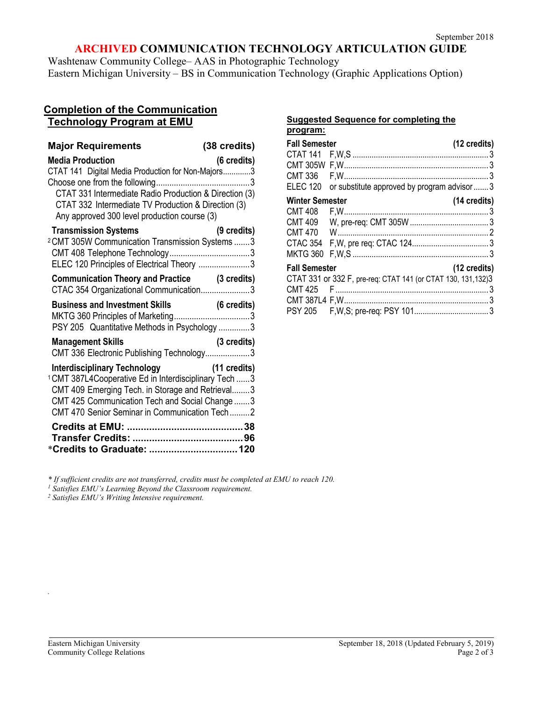# **ARCHIVED COMMUNICATION TECHNOLOGY ARTICULATION GUIDE**

Washtenaw Community College– AAS in Photographic Technology Eastern Michigan University – BS in Communication Technology (Graphic Applications Option)

### **Completion of the Communication Technology Program at EMU**

| <b>Major Requirements</b>                                                                                                                                                                                                                                              | (38 credits) |
|------------------------------------------------------------------------------------------------------------------------------------------------------------------------------------------------------------------------------------------------------------------------|--------------|
| <b>Media Production</b><br>CTAT 141 Digital Media Production for Non-Majors3<br>CTAT 331 Intermediate Radio Production & Direction (3)<br>CTAT 332 Intermediate TV Production & Direction (3)<br>Any approved 300 level production course (3)                          | (6 credits)  |
| <b>Transmission Systems</b><br><sup>2</sup> CMT 305W Communication Transmission Systems  3<br>ELEC 120 Principles of Electrical Theory 3                                                                                                                               | (9 credits)  |
| Communication Theory and Practice (3 credits)<br>CTAC 354 Organizational Communication3                                                                                                                                                                                |              |
|                                                                                                                                                                                                                                                                        |              |
| PSY 205 Quantitative Methods in Psychology 3                                                                                                                                                                                                                           |              |
| <b>Management Skills</b><br>CMT 336 Electronic Publishing Technology3                                                                                                                                                                                                  | (3 credits)  |
| Interdisciplinary Technology (11 credits)<br><sup>1</sup> CMT 387L4Cooperative Ed in Interdisciplinary Tech  3<br>CMT 409 Emerging Tech. in Storage and Retrieval3<br>CMT 425 Communication Tech and Social Change  3<br>CMT 470 Senior Seminar in Communication Tech2 |              |

#### **Suggested Sequence for completing the program:**

| <b>Fall Semester</b>   |                                                                | (12 credits)           |
|------------------------|----------------------------------------------------------------|------------------------|
|                        |                                                                |                        |
|                        |                                                                |                        |
|                        |                                                                |                        |
|                        | ELEC 120 or substitute approved by program advisor3            |                        |
| <b>Winter Semester</b> |                                                                | (14 credits)           |
|                        |                                                                |                        |
| CMT 409                |                                                                |                        |
| <b>CMT 470</b>         |                                                                |                        |
|                        |                                                                |                        |
| MKTG 360               |                                                                |                        |
| <b>Fall Semester</b>   |                                                                | $(12 \text{ credits})$ |
|                        | CTAT 331 or 332 F, pre-req: CTAT 141 (or CTAT 130, 131, 132) 3 |                        |
|                        |                                                                |                        |
|                        |                                                                |                        |
|                        |                                                                |                        |

*\* If sufficient credits are not transferred, credits must be completed at EMU to reach 120. 1 Satisfies EMU's Learning Beyond the Classroom requirement.*

*<sup>2</sup> Satisfies EMU's Writing Intensive requirement.* 

*.*